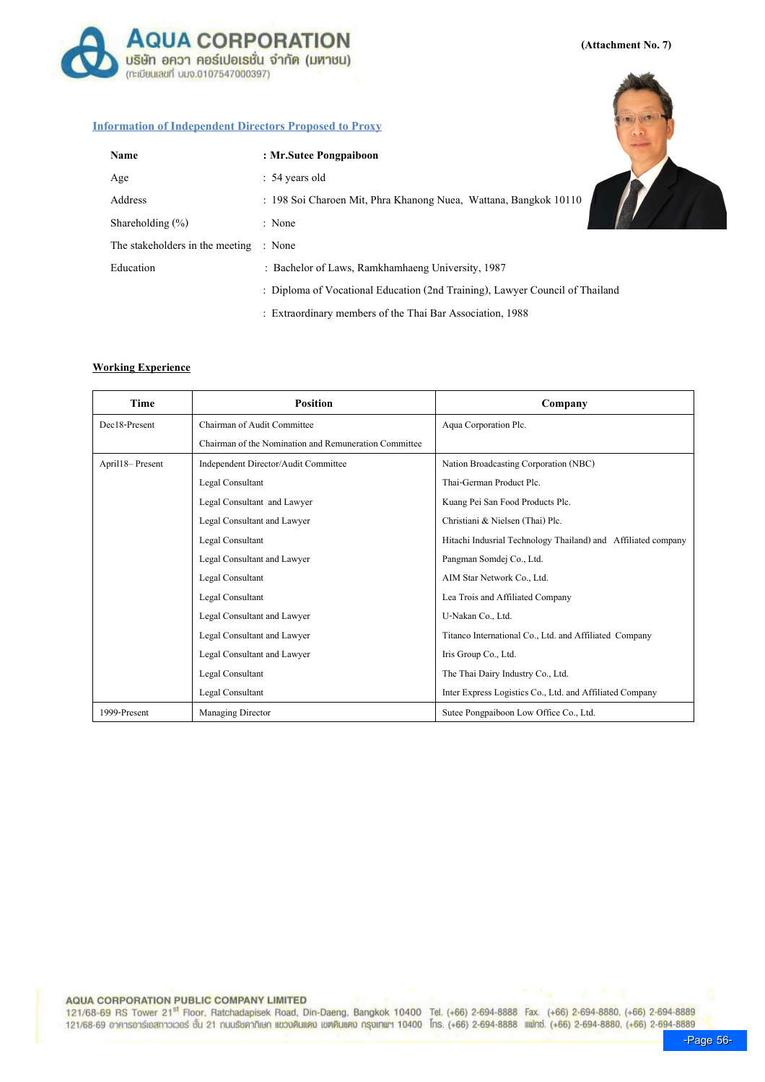**AQUA CORPORATION** บริษัท อควา คอร์เปอเรชั่น จำกัด (มหาชน) (ทะเบียนเลขที่ บมจ.0107547000397)

(Attachment No. 7)

## Information of Independent Directors Proposed to Proxy

| Name                            | : Mr.Sutee Pongpaiboon                                                       |  |
|---------------------------------|------------------------------------------------------------------------------|--|
| Age                             | $: 54 \text{ years old}$                                                     |  |
| Address                         | : 198 Soi Charoen Mit, Phra Khanong Nuea, Wattana, Bangkok 10110<br>: None   |  |
| Shareholding $(\% )$            |                                                                              |  |
| The stakeholders in the meeting | : None                                                                       |  |
| Education                       | : Bachelor of Laws, Ramkhamhaeng University, 1987                            |  |
|                                 | : Diploma of Vocational Education (2nd Training), Lawyer Council of Thailand |  |
|                                 | : Extraordinary members of the Thai Bar Association, 1988                    |  |

### Working Experience

| Time            | <b>Position</b>                                       | Company                                                       |
|-----------------|-------------------------------------------------------|---------------------------------------------------------------|
| Dec18-Present   | Chairman of Audit Committee                           | Aqua Corporation Plc.                                         |
|                 | Chairman of the Nomination and Remuneration Committee |                                                               |
| April18-Present | Independent Director/Audit Committee                  | Nation Broadcasting Corporation (NBC)                         |
|                 | Legal Consultant                                      | Thai-German Product Plc.                                      |
|                 | Legal Consultant and Lawyer                           | Kuang Pei San Food Products Plc.                              |
|                 | Legal Consultant and Lawyer                           | Christiani & Nielsen (Thai) Plc.                              |
|                 | Legal Consultant                                      | Hitachi Indusrial Technology Thailand) and Affiliated company |
|                 | Legal Consultant and Lawyer                           | Pangman Somdej Co., Ltd.                                      |
|                 | Legal Consultant                                      | AIM Star Network Co., Ltd.                                    |
|                 | Legal Consultant                                      | Lea Trois and Affiliated Company                              |
|                 | Legal Consultant and Lawyer                           | U-Nakan Co., Ltd.                                             |
|                 | Legal Consultant and Lawyer                           | Titanco International Co., Ltd. and Affiliated Company        |
|                 | Legal Consultant and Lawyer                           | Iris Group Co., Ltd.                                          |
|                 | Legal Consultant                                      | The Thai Dairy Industry Co., Ltd.                             |
|                 | Legal Consultant                                      | Inter Express Logistics Co., Ltd. and Affiliated Company      |
| 1999-Present    | Managing Director                                     | Sutee Pongpaiboon Low Office Co., Ltd.                        |

## AQUA CORPORATION PUBLIC COMPANY LIMITED

121/68-69 RS Tower 21<sup>st</sup> Floor, Ratchadapisek Road, Din-Daeng, Bangkok 10400 Tel. (+66) 2-694-8888 Fax. (+66) 2-694-8880, (+66) 2-694-8889 121/68-69 อาคารอาร์เอสทาวเวอร์ ชั้น 21 ถนนรัชคาภิเษก แขวงดินแดง เขตดินแดง กรุงเทพฯ 10400 โทร. (+66) 2-694-8888 แฟทซ์. (+66) 2-694-8880, (+66) 2-694-8889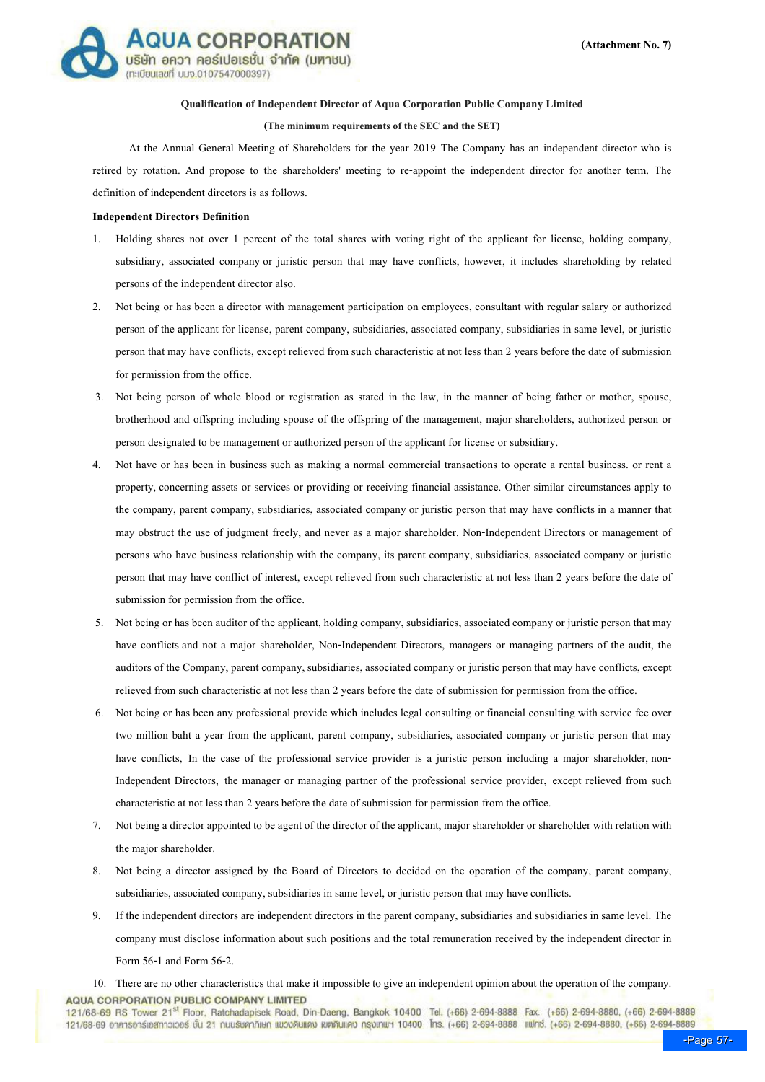

### Qualification of Independent Director of Aqua Corporation Public Company Limited

#### (The minimum requirements of the SEC and the SET)

 At the Annual General Meeting of Shareholders for the year 2019 The Company has an independent director who is retired by rotation. And propose to the shareholders' meeting to re-appoint the independent director for another term. The definition of independent directors is as follows.

#### Independent Directors Definition

- 1. Holding shares not over 1 percent of the total shares with voting right of the applicant for license, holding company, subsidiary, associated company or juristic person that may have conflicts, however, it includes shareholding by related persons of the independent director also.
- 2. Not being or has been a director with management participation on employees, consultant with regular salary or authorized person of the applicant for license, parent company, subsidiaries, associated company, subsidiaries in same level, or juristic person that may have conflicts, except relieved from such characteristic at not less than 2 years before the date of submission for permission from the office.
- 3. Not being person of whole blood or registration as stated in the law, in the manner of being father or mother, spouse, brotherhood and offspring including spouse of the offspring of the management, major shareholders, authorized person or person designated to be management or authorized person of the applicant for license or subsidiary.
- 4. Not have or has been in business such as making a normal commercial transactions to operate a rental business. or rent a property, concerning assets or services or providing or receiving financial assistance. Other similar circumstances apply to the company, parent company, subsidiaries, associated company or juristic person that may have conflicts in a manner that may obstruct the use of judgment freely, and never as a major shareholder. Non-Independent Directors or management of persons who have business relationship with the company, its parent company, subsidiaries, associated company or juristic person that may have conflict of interest, except relieved from such characteristic at not less than 2 years before the date of submission for permission from the office.
- 5. Not being or has been auditor of the applicant, holding company, subsidiaries, associated company or juristic person that may have conflicts and not a major shareholder, Non-Independent Directors, managers or managing partners of the audit, the auditors of the Company, parent company, subsidiaries, associated company or juristic person that may have conflicts, except relieved from such characteristic at not less than 2 years before the date of submission for permission from the office.
- 6. Not being or has been any professional provide which includes legal consulting or financial consulting with service fee over two million baht a year from the applicant, parent company, subsidiaries, associated company or juristic person that may have conflicts, In the case of the professional service provider is a juristic person including a major shareholder, non-Independent Directors, the manager or managing partner of the professional service provider, except relieved from such characteristic at not less than 2 years before the date of submission for permission from the office.
- 7. Not being a director appointed to be agent of the director of the applicant, major shareholder or shareholder with relation with the major shareholder.
- 8. Not being a director assigned by the Board of Directors to decided on the operation of the company, parent company, subsidiaries, associated company, subsidiaries in same level, or juristic person that may have conflicts.
- 9. If the independent directors are independent directors in the parent company, subsidiaries and subsidiaries in same level. The company must disclose information about such positions and the total remuneration received by the independent director in Form 56-1 and Form 56-2.

121/68-69 RS Tower 21<sup>st</sup> Floor, Ratchadapisek Road, Din-Daeng, Bangkok 10400 Tel. (+66) 2-694-8888 Fax. (+66) 2-694-8880, (+66) 2-694-8889 121/68-69 อาคารอาร์เอสทาวเวอร์ ชั้น 21 กนบรัชคาภิเษก แขวงดินแดง เขตดินแดง กรุงเทพฯ 10400 โทร. (+66) 2-694-8888 แฟกซ์. (+66) 2-694-8880, (+66) 2-694-8889

<sup>10.</sup> There are no other characteristics that make it impossible to give an independent opinion about the operation of the company. **AQUA CORPORATION PUBLIC COMPANY LIMITED**